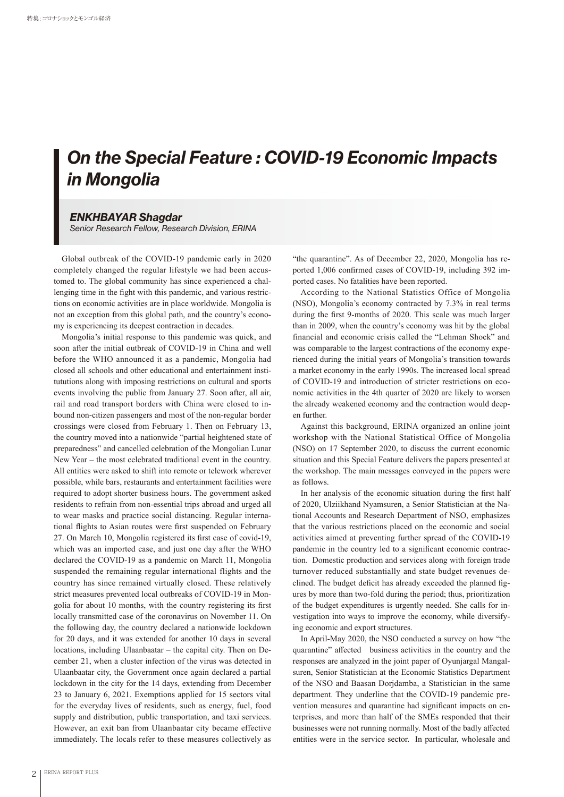## *On the Special Feature : COVID-19 Economic Impacts in Mongolia*

## *ENKHBAYAR Shagdar*

*Senior Research Fellow, Research Division, ERINA*

Global outbreak of the COVID-19 pandemic early in 2020 completely changed the regular lifestyle we had been accustomed to. The global community has since experienced a challenging time in the fight with this pandemic, and various restrictions on economic activities are in place worldwide. Mongolia is not an exception from this global path, and the country's economy is experiencing its deepest contraction in decades.

Mongolia's initial response to this pandemic was quick, and soon after the initial outbreak of COVID-19 in China and well before the WHO announced it as a pandemic, Mongolia had closed all schools and other educational and entertainment institututions along with imposing restrictions on cultural and sports events involving the public from January 27. Soon after, all air, rail and road transport borders with China were closed to inbound non-citizen passengers and most of the non-regular border crossings were closed from February 1. Then on February 13, the country moved into a nationwide "partial heightened state of preparedness" and cancelled celebration of the Mongolian Lunar New Year – the most celebrated traditional event in the country. All entities were asked to shift into remote or telework wherever possible, while bars, restaurants and entertainment facilities were required to adopt shorter business hours. The government asked residents to refrain from non-essential trips abroad and urged all to wear masks and practice social distancing. Regular international flights to Asian routes were first suspended on February 27. On March 10, Mongolia registered its first case of covid-19, which was an imported case, and just one day after the WHO declared the COVID-19 as a pandemic on March 11, Mongolia suspended the remaining regular international flights and the country has since remained virtually closed. These relatively strict measures prevented local outbreaks of COVID-19 in Mongolia for about 10 months, with the country registering its first locally transmitted case of the coronavirus on November 11. On the following day, the country declared a nationwide lockdown for 20 days, and it was extended for another 10 days in several locations, including Ulaanbaatar – the capital city. Then on December 21, when a cluster infection of the virus was detected in Ulaanbaatar city, the Government once again declared a partial lockdown in the city for the 14 days, extending from December 23 to January 6, 2021. Exemptions applied for 15 sectors vital for the everyday lives of residents, such as energy, fuel, food supply and distribution, public transportation, and taxi services. However, an exit ban from Ulaanbaatar city became effective immediately. The locals refer to these measures collectively as

"the quarantine". As of December 22, 2020, Mongolia has reported 1,006 confirmed cases of COVID-19, including 392 imported cases. No fatalities have been reported.

According to the National Statistics Office of Mongolia (NSO), Mongolia's economy contracted by 7.3% in real terms during the first 9-months of 2020. This scale was much larger than in 2009, when the country's economy was hit by the global financial and economic crisis called the "Lehman Shock" and was comparable to the largest contractions of the economy experienced during the initial years of Mongolia's transition towards a market economy in the early 1990s. The increased local spread of COVID-19 and introduction of stricter restrictions on economic activities in the 4th quarter of 2020 are likely to worsen the already weakened economy and the contraction would deepen further.

Against this background, ERINA organized an online joint workshop with the National Statistical Office of Mongolia (NSO) on 17 September 2020, to discuss the current economic situation and this Special Feature delivers the papers presented at the workshop. The main messages conveyed in the papers were as follows.

In her analysis of the economic situation during the first half of 2020, Ulziikhand Nyamsuren, a Senior Statistician at the National Accounts and Research Department of NSO, emphasizes that the various restrictions placed on the economic and social activities aimed at preventing further spread of the COVID-19 pandemic in the country led to a significant economic contraction. Domestic production and services along with foreign trade turnover reduced substantially and state budget revenues declined. The budget deficit has already exceeded the planned figures by more than two-fold during the period; thus, prioritization of the budget expenditures is urgently needed. She calls for investigation into ways to improve the economy, while diversifying economic and export structures.

In April-May 2020, the NSO conducted a survey on how "the quarantine" affected business activities in the country and the responses are analyzed in the joint paper of Oyunjargal Mangalsuren, Senior Statistician at the Economic Statistics Department of the NSO and Baasan Dorjdamba, a Statistician in the same department. They underline that the COVID-19 pandemic prevention measures and quarantine had significant impacts on enterprises, and more than half of the SMEs responded that their businesses were not running normally. Most of the badly affected entities were in the service sector. In particular, wholesale and